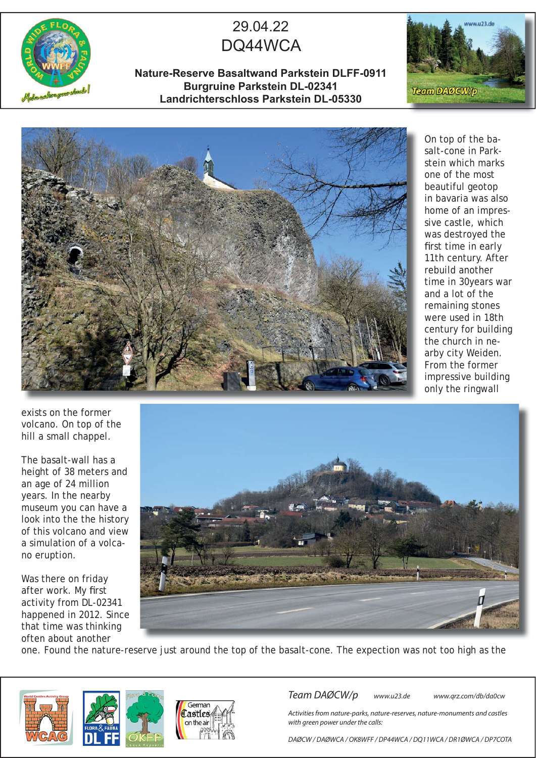

## 29.04.22 DQ44WCA

**Nature-Reserve Basaltwand Parkstein DLFF-0911 Burgruine Parkstein DL-02341 Landrichterschloss Parkstein DL-05330**





On top of the basalt-cone in Parkstein which marks one of the most beautiful geotop in bavaria was also home of an impressive castle, which was destroyed the first time in early 11th century. After rebuild another time in 30years war and a lot of the remaining stones were used in 18th century for building the church in nearby city Weiden. From the former impressive building only the ringwall

exists on the former volcano. On top of the hill a small chappel.

The basalt-wall has a height of 38 meters and an age of 24 million years. In the nearby museum you can have a look into the the history of this volcano and view a simulation of a volcano eruption.

Was there on friday after work. My first activity from DL-02341 happened in 2012. Since that time was thinking often about another



one. Found the nature-reserve just around the top of the basalt-cone. The expection was not too high as the



Team DAØCW/p www.u23.de www.qrz.com/db/da0cw

Activities from nature-parks, nature-reserves, nature-monuments and castles with green power under the calls:

DAØCW / DAØWCA / OK8WFF / DP44WCA / DQ11WCA / DR1ØWCA / DP7COTA